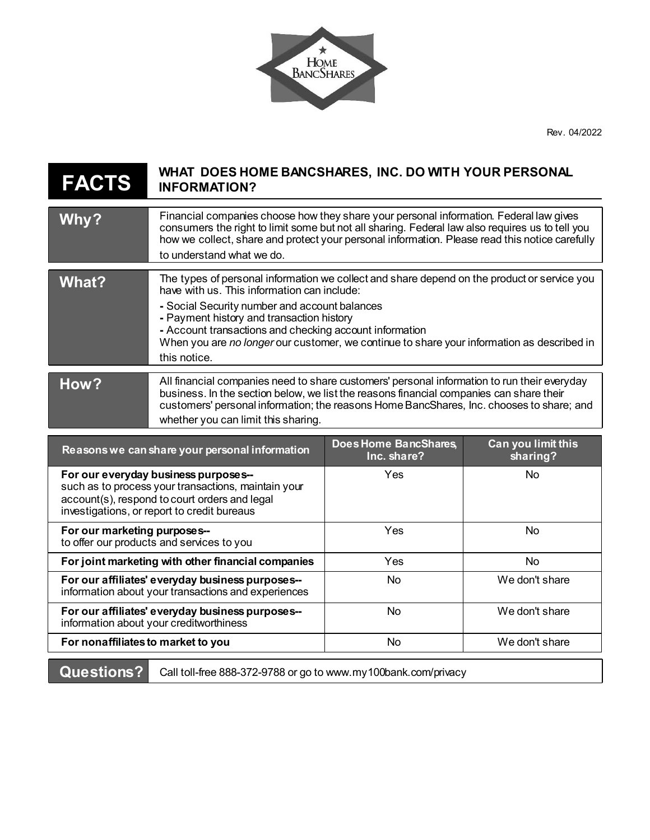Rev. 04/2022

I



| <b>FACTS</b>                                                                                                                                                                                | WHAT DOES HOME BANCSHARES, INC. DO WITH YOUR PERSONAL<br><b>INFORMATION?</b>                                                                                                                                                                                                                                                                                                                                      |                                      |                                |
|---------------------------------------------------------------------------------------------------------------------------------------------------------------------------------------------|-------------------------------------------------------------------------------------------------------------------------------------------------------------------------------------------------------------------------------------------------------------------------------------------------------------------------------------------------------------------------------------------------------------------|--------------------------------------|--------------------------------|
| Why?                                                                                                                                                                                        | Financial companies choose how they share your personal information. Federal law gives<br>consumers the right to limit some but not all sharing. Federal law also requires us to tell you<br>how we collect, share and protect your personal information. Please read this notice carefully<br>to understand what we do.                                                                                          |                                      |                                |
| <b>What?</b>                                                                                                                                                                                | The types of personal information we collect and share depend on the product or service you<br>have with us. This information can include:<br>- Social Security number and account balances<br>- Payment history and transaction history<br>- Account transactions and checking account information<br>When you are no longer our customer, we continue to share your information as described in<br>this notice. |                                      |                                |
| How?                                                                                                                                                                                        | All financial companies need to share customers' personal information to run their everyday<br>business. In the section below, we list the reasons financial companies can share their<br>customers' personal information; the reasons Home BancShares, Inc. chooses to share; and<br>whether you can limit this sharing.                                                                                         |                                      |                                |
| Reasons we can share your personal information                                                                                                                                              |                                                                                                                                                                                                                                                                                                                                                                                                                   | Does Home BancShares,<br>Inc. share? | Can you limit this<br>sharing? |
| For our everyday business purposes--<br>such as to process your transactions, maintain your<br>account(s), respond to court orders and legal<br>investigations, or report to credit bureaus |                                                                                                                                                                                                                                                                                                                                                                                                                   | Yes                                  | <b>No</b>                      |
| For our marketing purposes--<br>to offer our products and services to you                                                                                                                   |                                                                                                                                                                                                                                                                                                                                                                                                                   | Yes                                  | <b>No</b>                      |
| For joint marketing with other financial companies                                                                                                                                          |                                                                                                                                                                                                                                                                                                                                                                                                                   | Yes                                  | <b>No</b>                      |
| For our affiliates' everyday business purposes--<br>information about your transactions and experiences                                                                                     |                                                                                                                                                                                                                                                                                                                                                                                                                   | <b>No</b>                            | We don't share                 |
| For our affiliates' everyday business purposes--<br>information about your creditworthiness                                                                                                 |                                                                                                                                                                                                                                                                                                                                                                                                                   | <b>No</b>                            | We don't share                 |
| For nonaffiliates to market to you                                                                                                                                                          |                                                                                                                                                                                                                                                                                                                                                                                                                   | No                                   | We don't share                 |

**Questions?** Call toll-free 888-372-9788 or go t[o www.my100bank.com/privacy](http://www.my100bank.com/privacy)